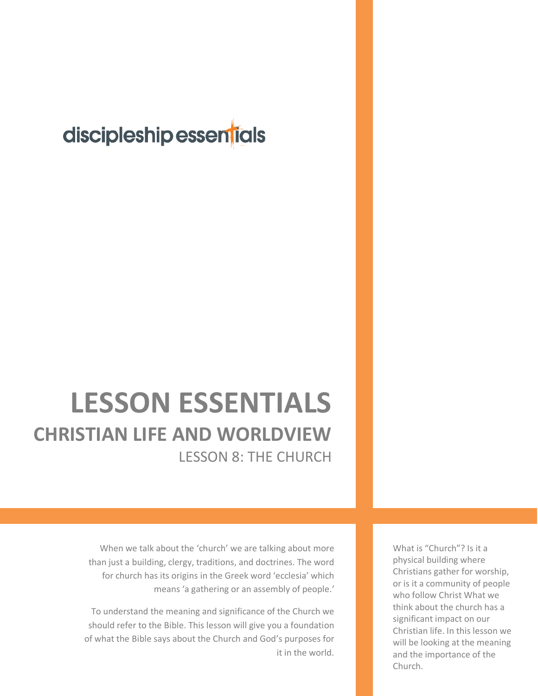## discipleship essentials

## **LESSON ESSENTIALS CHRISTIAN LIFE AND WORLDVIEW** LESSON 8: THE CHURCH

When we talk about the 'church' we are talking about more than just a building, clergy, traditions, and doctrines. The word for church has its origins in the Greek word 'ecclesia' which means 'a gathering or an assembly of people.'

To understand the meaning and significance of the Church we should refer to the Bible. This lesson will give you a foundation of what the Bible says about the Church and God's purposes for it in the world.

What is "Church"? Is it a physical building where Christians gather for worship, or is it a community of people who follow Christ What we think about the church has a significant impact on our Christian life. In this lesson we will be looking at the meaning and the importance of the Church.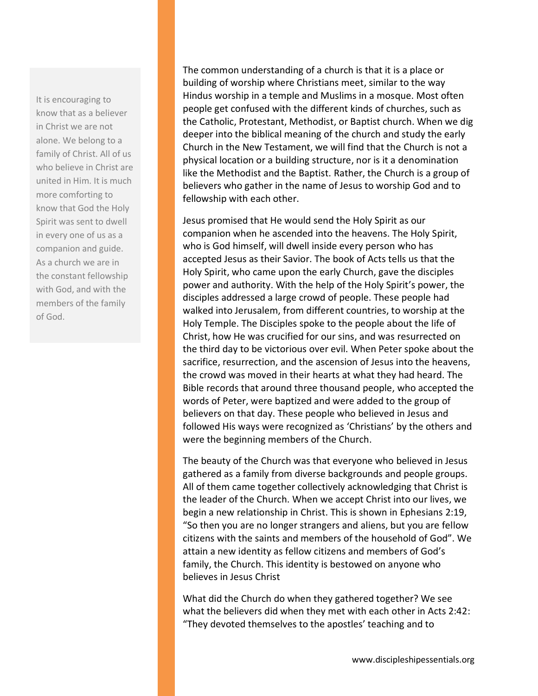It is encouraging to know that as a believer in Christ we are not alone. We belong to a family of Christ. All of us who believe in Christ are united in Him. It is much more comforting to know that God the Holy Spirit was sent to dwell in every one of us as a companion and guide. As a church we are in the constant fellowship with God, and with the members of the family of God.

The common understanding of a church is that it is a place or building of worship where Christians meet, similar to the way Hindus worship in a temple and Muslims in a mosque. Most often people get confused with the different kinds of churches, such as the Catholic, Protestant, Methodist, or Baptist church. When we dig deeper into the biblical meaning of the church and study the early Church in the New Testament, we will find that the Church is not a physical location or a building structure, nor is it a denomination like the Methodist and the Baptist. Rather, the Church is a group of believers who gather in the name of Jesus to worship God and to fellowship with each other.

Jesus promised that He would send the Holy Spirit as our companion when he ascended into the heavens. The Holy Spirit, who is God himself, will dwell inside every person who has accepted Jesus as their Savior. The book of Acts tells us that the Holy Spirit, who came upon the early Church, gave the disciples power and authority. With the help of the Holy Spirit's power, the disciples addressed a large crowd of people. These people had walked into Jerusalem, from different countries, to worship at the Holy Temple. The Disciples spoke to the people about the life of Christ, how He was crucified for our sins, and was resurrected on the third day to be victorious over evil. When Peter spoke about the sacrifice, resurrection, and the ascension of Jesus into the heavens, the crowd was moved in their hearts at what they had heard. The Bible records that around three thousand people, who accepted the words of Peter, were baptized and were added to the group of believers on that day. These people who believed in Jesus and followed His ways were recognized as 'Christians' by the others and were the beginning members of the Church.

The beauty of the Church was that everyone who believed in Jesus gathered as a family from diverse backgrounds and people groups. All of them came together collectively acknowledging that Christ is the leader of the Church. When we accept Christ into our lives, we begin a new relationship in Christ. This is shown in Ephesians 2:19, "So then you are no longer strangers and aliens, but you are fellow citizens with the saints and members of the household of God". We attain a new identity as fellow citizens and members of God's family, the Church. This identity is bestowed on anyone who believes in Jesus Christ

What did the Church do when they gathered together? We see what the believers did when they met with each other in Acts 2:42: "They devoted themselves to the apostles' teaching and to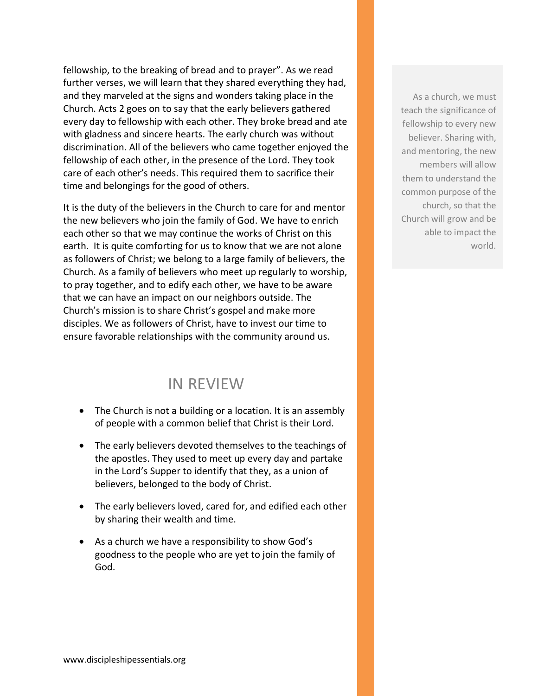fellowship, to the breaking of bread and to prayer". As we read further verses, we will learn that they shared everything they had, and they marveled at the signs and wonders taking place in the Church. Acts 2 goes on to say that the early believers gathered every day to fellowship with each other. They broke bread and ate with gladness and sincere hearts. The early church was without discrimination. All of the believers who came together enjoyed the fellowship of each other, in the presence of the Lord. They took care of each other's needs. This required them to sacrifice their time and belongings for the good of others.

It is the duty of the believers in the Church to care for and mentor the new believers who join the family of God. We have to enrich each other so that we may continue the works of Christ on this earth. It is quite comforting for us to know that we are not alone as followers of Christ; we belong to a large family of believers, the Church. As a family of believers who meet up regularly to worship, to pray together, and to edify each other, we have to be aware that we can have an impact on our neighbors outside. The Church's mission is to share Christ's gospel and make more disciples. We as followers of Christ, have to invest our time to ensure favorable relationships with the community around us.

## IN REVIEW

- The Church is not a building or a location. It is an assembly of people with a common belief that Christ is their Lord.
- The early believers devoted themselves to the teachings of the apostles. They used to meet up every day and partake in the Lord's Supper to identify that they, as a union of believers, belonged to the body of Christ.
- The early believers loved, cared for, and edified each other by sharing their wealth and time.
- As a church we have a responsibility to show God's goodness to the people who are yet to join the family of God.

As a church, we must teach the significance of fellowship to every new believer. Sharing with, and mentoring, the new members will allow them to understand the common purpose of the church, so that the Church will grow and be able to impact the world.